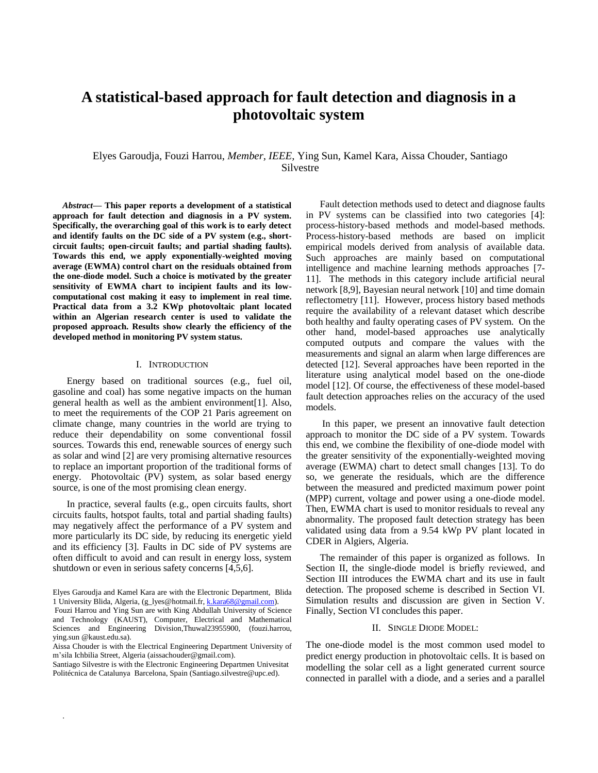# **A statistical-based approach for fault detection and diagnosis in a photovoltaic system**

# Elyes Garoudja, Fouzi Harrou, *Member, IEEE,* Ying Sun, Kamel Kara, Aissa Chouder, Santiago Silvestre

*Abstract***— This paper reports a development of a statistical approach for fault detection and diagnosis in a PV system. Specifically, the overarching goal of this work is to early detect and identify faults on the DC side of a PV system (e.g., shortcircuit faults; open-circuit faults; and partial shading faults). Towards this end, we apply exponentially-weighted moving average (EWMA) control chart on the residuals obtained from the one-diode model. Such a choice is motivated by the greater sensitivity of EWMA chart to incipient faults and its lowcomputational cost making it easy to implement in real time. Practical data from a 3.2 KWp photovoltaic plant located within an Algerian research center is used to validate the proposed approach. Results show clearly the efficiency of the developed method in monitoring PV system status.**

# I. INTRODUCTION

Energy based on traditional sources (e.g., fuel oil, gasoline and coal) has some negative impacts on the human general health as well as the ambient environment[\[1\]](../../Lyes/AppData/Local/Temp/WPDNSE/%7b01950188-01D7-01E7-AE01-8901B401AA01%7d/Batna%20conference%20paper%20-final%20version-.doc#_ENREF_1). Also, to meet the requirements of the COP 21 Paris agreement on climate change, many countries in the world are trying to reduce their dependability on some conventional fossil sources. Towards this end, renewable sources of energy such as solar and wind [\[2\]](../../Lyes/AppData/Local/Temp/WPDNSE/%7b01950188-01D7-01E7-AE01-8901B401AA01%7d/Batna%20conference%20paper%20-final%20version-.doc#_ENREF_2) are very promising alternative resources to replace an important proportion of the traditional forms of energy. Photovoltaic (PV) system, as solar based energy source, is one of the most promising clean energy.

In practice, several faults (e.g., open circuits faults, short circuits faults, hotspot faults, total and partial shading faults) may negatively affect the performance of a PV system and more particularly its DC side, by reducing its energetic yield and its efficiency [3]. Faults in DC side of PV systems are often difficult to avoid and can result in energy loss, system shutdown or even in serious safety concerns [4,5,6].

.

Fault detection methods used to detect and diagnose faults in PV systems can be classified into two categories [4]: process-history-based methods and model-based methods. Process-history-based methods are based on implicit empirical models derived from analysis of available data. Such approaches are mainly based on computational intelligence and machine learning methods approaches [7- 11]. The methods in this category include artificial neural network [8,9], Bayesian neural network [10] and time domain reflectometry [11]. However, process history based methods require the availability of a relevant dataset which describe both healthy and faulty operating cases of PV system. On the other hand, model-based approaches use analytically computed outputs and compare the values with the measurements and signal an alarm when large differences are detected [12]. Several approaches have been reported in the literature using analytical model based on the one-diode model [12]. Of course, the effectiveness of these model-based fault detection approaches relies on the accuracy of the used models.

In this paper, we present an innovative fault detection approach to monitor the DC side of a PV system. Towards this end, we combine the flexibility of one-diode model with the greater sensitivity of the exponentially-weighted moving average (EWMA) chart to detect small changes [13]. To do so, we generate the residuals, which are the difference between the measured and predicted maximum power point (MPP) current, voltage and power using a one-diode model. Then, EWMA chart is used to monitor residuals to reveal any abnormality. The proposed fault detection strategy has been validated using data from a 9.54 kWp PV plant located in CDER in Algiers, Algeria.

The remainder of this paper is organized as follows. In Section II, the single-diode model is briefly reviewed, and Section III introduces the EWMA chart and its use in fault detection. The proposed scheme is described in Section VI. Simulation results and discussion are given in Section V. Finally, Section VI concludes this paper.

#### II. SINGLE DIODE MODEL:

The one-diode model is the most common used model to predict energy production in photovoltaic cells. It is based on modelling the solar cell as a light generated current source connected in parallel with a diode, and a series and a parallel

Elyes Garoudja and Kamel Kara are with the Electronic Department, Blida 1 University Blida, Algeria, [\(g\\_lyes@hotmail.fr,](mailto:g_lyes@hotmail.fr) [k.kara68@gmail.com\)](mailto:k.kara68@gmail.com).

Fouzi Harrou and Ying Sun are with King Abdullah University of Science and Technology (KAUST), Computer, Electrical and Mathematical Sciences and Engineering Division,Thuwal23955900, (fouzi.harrou, ying.sun @kaust.edu.sa).

Aissa Chouder is with the Electrical Engineering Department University of m'sila Ichbilia Street, Algeria [\(aissachouder@gmail.com\)](mailto:aissachouder@gmail.com).

Santiago Silvestre is with the Electronic Engineering Departmen Univesitat Politécnica de Catalunya Barcelona, Spain (Santiago.silvestre@upc.ed).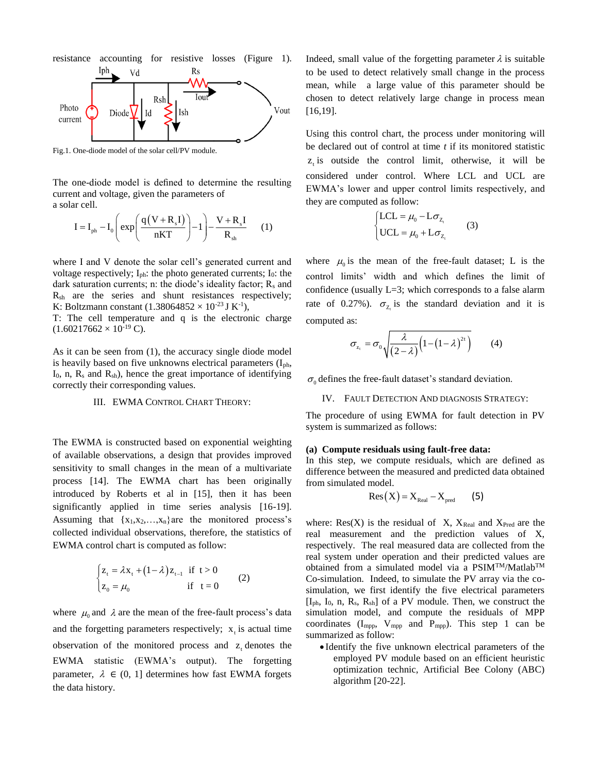

Fig.1. One-diode model of the solar cell/PV module.

The one-diode model is defined to determine the resulting current and voltage, given the parameters of a solar cell.

$$
I = I_{ph} - I_0 \left( exp \left( \frac{q(V + R_s I)}{nKT} \right) - 1 \right) - \frac{V + R_s I}{R_{sh}} \qquad (1)
$$

where I and V denote the solar cell's generated current and voltage respectively; I<sub>ph</sub>: the photo generated currents; I<sub>0</sub>: the dark saturation currents; n: the diode's ideality factor;  $R_s$  and  $R_{sh}$  are the series and shunt resistances respectively; K: Boltzmann constant  $(1.38064852 \times 10^{-23} \text{ J K}^{-1})$ ,

T: The cell temperature and q is the electronic charge  $(1.60217662 \times 10^{-19} \text{ C}).$ 

As it can be seen from (1), the accuracy single diode model is heavily based on five unknowns electrical parameters  $(I_{ph}$ ,  $I_0$ , n,  $R_s$  and  $R_{sh}$ ), hence the great importance of identifying correctly their corresponding values.

# III. EWMA CONTROL CHART THEORY:

The EWMA is constructed based on exponential weighting of available observations, a design that provides improved sensitivity to small changes in the mean of a multivariate process [14]. The EWMA chart has been originally introduced by Roberts et al in [15], then it has been significantly applied in time series analysis [16-19]. Assuming that  $\{x_1, x_2, \ldots, x_n\}$  are the monitored process's collected individual observations, therefore, the statistics of EWMA control chart is computed as follow:

$$
\begin{cases} z_{t} = \lambda x_{t} + (1 - \lambda) z_{t-1} & \text{if } t > 0 \\ z_{0} = \mu_{0} & \text{if } t = 0 \end{cases}
$$
 (2)

where  $\mu_0$  and  $\lambda$  are the mean of the free-fault process's data and the forgetting parameters respectively;  $x_t$  is actual time observation of the monitored process and  $z_t$  denotes the EWMA statistic (EWMA's output). The forgetting parameter,  $\lambda \in (0, 1]$  determines how fast EWMA forgets the data history.

Indeed, small value of the forgetting parameter  $\lambda$  is suitable to be used to detect relatively small change in the process mean, while a large value of this parameter should be chosen to detect relatively large change in process mean [16,19].

Using this control chart, the process under monitoring will be declared out of control at time *t* if its monitored statistic  $z_t$  is outside the control limit, otherwise, it will be considered under control. Where LCL and UCL are EWMA's lower and upper control limits respectively, and they are computed as follow:

$$
\begin{cases}\n\text{LCL} = \mu_0 - \text{L}\sigma_{Z_t} \\
\text{UCL} = \mu_0 + \text{L}\sigma_{Z_t}\n\end{cases} (3)
$$

where  $\mu_0$  is the mean of the free-fault dataset; L is the control limits' width and which defines the limit of confidence (usually L=3; which corresponds to a false alarm rate of 0.27%).  $\sigma_{z_i}$  is the standard deviation and it is computed as:

$$
\sigma_{z_i} = \sigma_0 \sqrt{\frac{\lambda}{(2-\lambda)} \Big(1 - \big(1-\lambda\big)^{2t}\Big)}
$$
 (4)

 $\sigma_0$  defines the free-fault dataset's standard deviation.

#### IV. FAULT DETECTION AND DIAGNOSIS STRATEGY:

The procedure of using EWMA for fault detection in PV system is summarized as follows:

#### **(a) Compute residuals using fault-free data:**

In this step, we compute residuals, which are defined as difference between the measured and predicted data obtained from simulated model.

$$
Res(X) = X_{Real} - X_{pred}
$$
 (5)

where:  $Res(X)$  is the residual of X,  $X_{Real}$  and  $X_{Pred}$  are the real measurement and the prediction values of X, respectively. The real measured data are collected from the real system under operation and their predicted values are obtained from a simulated model via a PSIMTM/MatlabTM Co-simulation. Indeed, to simulate the PV array via the cosimulation, we first identify the five electrical parameters  $[I_{ph}, I_0, n, R_s, R_{sh}]$  of a PV module. Then, we construct the simulation model, and compute the residuals of MPP coordinates  $(I_{\text{mpp}}$ ,  $V_{\text{mpp}}$  and  $P_{\text{mpp}}$ ). This step 1 can be summarized as follow:

 Identify the five unknown electrical parameters of the employed PV module based on an efficient heuristic optimization technic, Artificial Bee Colony (ABC) algorithm [20-22].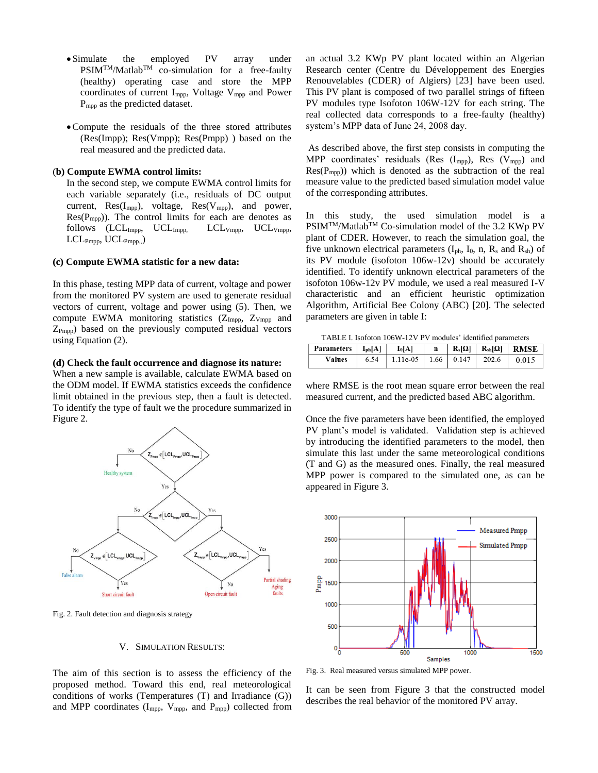- Simulate the employed PV array under  $PSIM<sup>TM</sup>/Matlab<sup>TM</sup>$  co-simulation for a free-faulty (healthy) operating case and store the MPP coordinates of current Impp, Voltage Vmpp and Power Pmpp as the predicted dataset.
- Compute the residuals of the three stored attributes (Res(Impp); Res(Vmpp); Res(Pmpp) ) based on the real measured and the predicted data.

# (**b) Compute EWMA control limits:**

In the second step, we compute EWMA control limits for each variable separately (i.e., residuals of DC output current,  $Res(I_{mpp})$ , voltage,  $Res(V_{mpp})$ , and power,  $Res(P_{mpp})$ . The control limits for each are denotes as follows (LCL<sub>Impp</sub>, UCL<sub>Impp,</sub> LCL<sub>Vmpp</sub>, UCL<sub>Vmpp</sub>, LCLPmpp, UCLPmpp,,)

# **(c) Compute EWMA statistic for a new data:**

In this phase, testing MPP data of current, voltage and power from the monitored PV system are used to generate residual vectors of current, voltage and power using (5). Then, we compute EWMA monitoring statistics  $(Z_{\text{Impp}}$ ,  $Z_{\text{Vmpp}}$  and  $Z_{P<sub>mono</sub>}$ ) based on the previously computed residual vectors using Equation (2).

#### **(d) Check the fault occurrence and diagnose its nature:**

When a new sample is available, calculate EWMA based on the ODM model. If EWMA statistics exceeds the confidence limit obtained in the previous step, then a fault is detected. To identify the type of fault we the procedure summarized in Figure 2.



Fig. 2. Fault detection and diagnosis strategy

# V. SIMULATION RESULTS:

The aim of this section is to assess the efficiency of the proposed method. Toward this end, real meteorological conditions of works (Temperatures (T) and Irradiance (G)) and MPP coordinates  $(I_{\text{mpp}}, V_{\text{mpp}}, \text{ and } P_{\text{mpp}})$  collected from an actual 3.2 KWp PV plant located within an Algerian Research center (Centre du Développement des Energies Renouvelables (CDER) of Algiers) [23] have been used. This PV plant is composed of two parallel strings of fifteen PV modules type Isofoton 106W-12V for each string. The real collected data corresponds to a free-faulty (healthy) system's MPP data of June 24, 2008 day.

As described above, the first step consists in computing the MPP coordinates' residuals (Res  $(I_{\text{mpp}})$ , Res  $(V_{\text{mpp}})$  and  $Res(P_{mpp})$ ) which is denoted as the subtraction of the real measure value to the predicted based simulation model value of the corresponding attributes.

In this study, the used simulation model is a PSIM<sup>TM</sup>/Matlab<sup>TM</sup> Co-simulation model of the 3.2 KWp PV plant of CDER. However, to reach the simulation goal, the five unknown electrical parameters  $(I_{ph}, I_0, n, R_s$  and  $R_{sh}$ ) of its PV module (isofoton 106w-12v) should be accurately identified. To identify unknown electrical parameters of the isofoton 106w-12v PV module, we used a real measured I-V characteristic and an efficient heuristic optimization Algorithm, Artificial Bee Colony (ABC) [20]. The selected parameters are given in table I:

TABLE I. Isofoton 106W-12V PV modules' identified parameters

| Parameters $ I_{ph}[A] $ $I_{0}[A]$ |                                  |  |                | $n \mid R_s[\Omega] \mid R_{sh}[\Omega] \mid RMSE$ |
|-------------------------------------|----------------------------------|--|----------------|----------------------------------------------------|
| <b>Values</b>                       | $6.54$   1.11e-05   1.66   0.147 |  | $1202.6$ 0.015 |                                                    |

where RMSE is the root mean square error between the real measured current, and the predicted based ABC algorithm.

Once the five parameters have been identified, the employed PV plant's model is validated. Validation step is achieved by introducing the identified parameters to the model, then simulate this last under the same meteorological conditions (T and G) as the measured ones. Finally, the real measured MPP power is compared to the simulated one, as can be appeared in Figure 3.



Fig. 3. Real measured versus simulated MPP power.

It can be seen from Figure 3 that the constructed model describes the real behavior of the monitored PV array.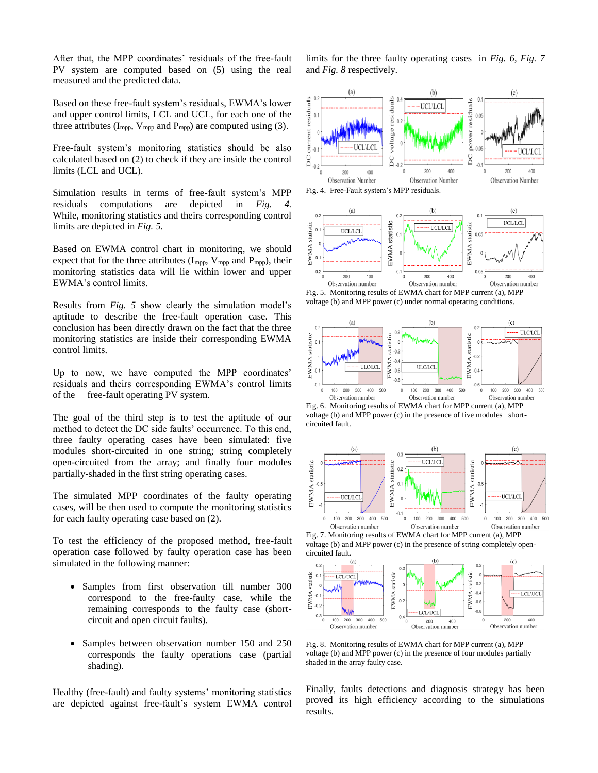After that, the MPP coordinates' residuals of the free-fault PV system are computed based on (5) using the real measured and the predicted data.

Based on these free-fault system's residuals, EWMA's lower and upper control limits, LCL and UCL, for each one of the three attributes ( $I_{\text{mpp}}$ ,  $V_{\text{mpp}}$  and  $P_{\text{mpp}}$ ) are computed using (3).

Free-fault system's monitoring statistics should be also calculated based on (2) to check if they are inside the control limits (LCL and UCL).

Simulation results in terms of free-fault system's MPP residuals computations are depicted in *Fig.* While, monitoring statistics and theirs corresponding control limits are depicted in *Fig. 5.*

Based on EWMA control chart in monitoring, we should expect that for the three attributes  $(I_{\text{mpp}}, V_{\text{mpp}})$  and  $P_{\text{mpp}}$ ), their monitoring statistics data will lie within lower and upper EWMA's control limits.

Results from *Fig. 5* show clearly the simulation model's aptitude to describe the free-fault operation case. This conclusion has been directly drawn on the fact that the three monitoring statistics are inside their corresponding EWMA control limits.

Up to now, we have computed the MPP coordinates' residuals and theirs corresponding EWMA's control limits of the free-fault operating PV system.

The goal of the third step is to test the aptitude of our method to detect the DC side faults' occurrence. To this end, three faulty operating cases have been simulated: five modules short-circuited in one string; string completely open-circuited from the array; and finally four modules partially-shaded in the first string operating cases.

The simulated MPP coordinates of the faulty operating cases, will be then used to compute the monitoring statistics for each faulty operating case based on (2).

To test the efficiency of the proposed method, free-fault operation case followed by faulty operation case has been simulated in the following manner:

- Samples from first observation till number 300 correspond to the free-faulty case, while the remaining corresponds to the faulty case (shortcircuit and open circuit faults).
- Samples between observation number 150 and 250 corresponds the faulty operations case (partial shading).

Healthy (free-fault) and faulty systems' monitoring statistics are depicted against free-fault's system EWMA control limits for the three faulty operating cases in *Fig. 6*, *Fig. 7* and *Fig. 8* respectively.



Fig. 5. Monitoring results of EWMA chart for MPP current (a), MPP voltage (b) and MPP power (c) under normal operating conditions.



Fig. 6. Monitoring results of EWMA chart for MPP current (a), MPP voltage (b) and MPP power (c) in the presence of five modules shortcircuited fault.



Fig. 7. Monitoring results of EWMA chart for MPP current (a), MPP voltage (b) and MPP power (c) in the presence of string completely open-



Fig. 8. Monitoring results of EWMA chart for MPP current (a), MPP voltage (b) and MPP power (c) in the presence of four modules partially shaded in the array faulty case.

Finally, faults detections and diagnosis strategy has been proved its high efficiency according to the simulations results.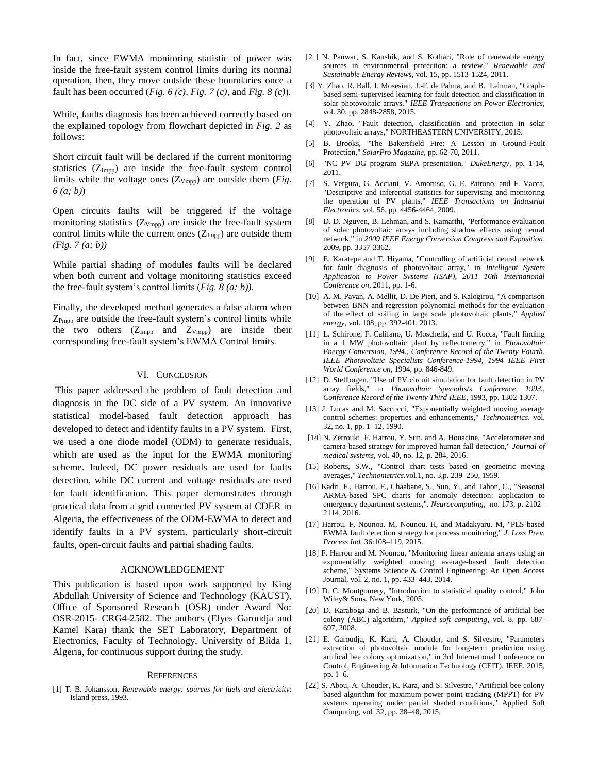In fact, since EWMA monitoring statistic of power was inside the free-fault system control limits during its normal operation, then, they move outside these boundaries once a fault has been occurred (*Fig. 6 (c)*, *Fig. 7 (c)*, and *Fig. 8 (c)*).

While, faults diagnosis has been achieved correctly based on the explained topology from flowchart depicted in *Fig. 2* as follows:

Short circuit fault will be declared if the current monitoring statistics  $(Z_{\text{Impp}})$  are inside the free-fault system control limits while the voltage ones (Z<sub>Vmpp</sub>) are outside them (*Fig. 6 (a; b)*)

Open circuits faults will be triggered if the voltage monitoring statistics  $(Z_{Vmpp})$  are inside the free-fault system control limits while the current ones  $(Z_{\text{Impp}})$  are outside them *(Fig. 7 (a; b))*

While partial shading of modules faults will be declared when both current and voltage monitoring statistics exceed the free-fault system's control limits (*Fig. 8 (a; b)).*

Finally, the developed method generates a false alarm when  $Z_{Pmpp}$  are outside the free-fault system's control limits while the two others  $(Z_{\text{Impp}}$  and  $Z_{\text{Vmpp}})$  are inside their corresponding free-fault system's EWMA Control limits.

### VI. CONCLUSION

This paper addressed the problem of fault detection and diagnosis in the DC side of a PV system. An innovative statistical model-based fault detection approach has developed to detect and identify faults in a PV system. First, we used a one diode model (ODM) to generate residuals, which are used as the input for the EWMA monitoring scheme. Indeed, DC power residuals are used for faults detection, while DC current and voltage residuals are used for fault identification. This paper demonstrates through practical data from a grid connected PV system at CDER in Algeria, the effectiveness of the ODM-EWMA to detect and identify faults in a PV system, particularly short-circuit faults, open-circuit faults and partial shading faults.

#### ACKNOWLEDGEMENT

This publication is based upon work supported by King Abdullah University of Science and Technology (KAUST), Office of Sponsored Research (OSR) under Award No: OSR-2015- CRG4-2582. The authors (Elyes Garoudja and Kamel Kara) thank the SET Laboratory, Department of Electronics, Faculty of Technology, University of Blida 1, Algeria, for continuous support during the study.

#### **REFERENCES**

[1] T. B. Johansson, *Renewable energy: sources for fuels and electricity*: Island press, 1993.

- [2 ] N. Panwar, S. Kaushik, and S. Kothari, "Role of renewable energy sources in environmental protection: a review," *Renewable and Sustainable Energy Reviews,* vol. 15, pp. 1513-1524, 2011.
- [3] Y. Zhao, R. Ball, J. Mosesian, J.-F. de Palma, and B. Lehman, "Graphbased semi-supervised learning for fault detection and classification in solar photovoltaic arrays," *IEEE Transactions on Power Electronics,*  vol. 30, pp. 2848-2858, 2015.
- [4] Y. Zhao, "Fault detection, classification and protection in solar photovoltaic arrays," NORTHEASTERN UNIVERSITY, 2015.
- [5] B. Brooks, "The Bakersfield Fire: A Lesson in Ground-Fault Protection," *SolarPro Magazine,* pp. 62-70, 2011.
- [6] "NC PV DG program SEPA presentation," *DukeEnergy,* pp. 1-14, 2011.
- [7] S. Vergura, G. Acciani, V. Amoruso, G. E. Patrono, and F. Vacca, "Descriptive and inferential statistics for supervising and monitoring the operation of PV plants," *IEEE Transactions on Industrial Electronics,* vol. 56, pp. 4456-4464, 2009.
- [8] D. D. Nguyen, B. Lehman, and S. Kamarthi, "Performance evaluation of solar photovoltaic arrays including shadow effects using neural network," in *2009 IEEE Energy Conversion Congress and Exposition*, 2009, pp. 3357-3362.
- [9] E. Karatepe and T. Hiyama, "Controlling of artificial neural network for fault diagnosis of photovoltaic array," in *Intelligent System Application to Power Systems (ISAP), 2011 16th International Conference on*, 2011, pp. 1-6.
- [10] A. M. Pavan, A. Mellit, D. De Pieri, and S. Kalogirou, "A comparison between BNN and regression polynomial methods for the evaluation of the effect of soiling in large scale photovoltaic plants," *Applied energy,* vol. 108, pp. 392-401, 2013.
- [11] L. Schirone, F. Califano, U. Moschella, and U. Rocca, "Fault finding in a 1 MW photovoltaic plant by reflectometry," in *Photovoltaic Energy Conversion, 1994., Conference Record of the Twenty Fourth. IEEE Photovoltaic Specialists Conference-1994, 1994 IEEE First World Conference on*, 1994, pp. 846-849.
- [12] D. Stellbogen, "Use of PV circuit simulation for fault detection in PV array fields," in *Photovoltaic Specialists Conference, 1993., Conference Record of the Twenty Third IEEE*, 1993, pp. 1302-1307.
- [13] J. Lucas and M. Saccucci, "Exponentially weighted moving average control schemes: properties and enhancements," *Technometrics*, vol. 32, no. 1, pp. 1–12, 1990.
- [14] N. Zerrouki, F. Harrou, Y. Sun, and A. Houacine, "Accelerometer and camera-based strategy for improved human fall detection," *Journal of medical systems*, vol. 40, no. 12, p. 284, 2016.
- [15] Roberts, S.W., "Control chart tests based on geometric moving averages," *Technometrics.*vol.1, no. 3,p. 239–250, 1959.
- [16] Kadri, F., Harrou, F., Chaabane, S., Sun, Y., and Tahon, C., "Seasonal ARMA-based SPC charts for anomaly detection: application to emergency department systems,". *Neurocomputing*, no. 173, p. 2102– 2114, 2016.
- [17] Harrou. F, Nounou. M, Nounou. H, and Madakyaru. M, "PLS-based EWMA fault detection strategy for process monitoring," *J. Loss Prev. Process Ind.* 36:108–119, 2015.
- [18] F. Harrou and M. Nounou, "Monitoring linear antenna arrays using an exponentially weighted moving average-based fault detection scheme," Systems Science & Control Engineering: An Open Access Journal, vol. 2, no. 1, pp. 433–443, 2014.
- [19] D. C. Montgomery, "Introduction to statistical quality control," John Wiley& Sons, New York, 2005.
- [20] D. Karaboga and B. Basturk, "On the performance of artificial bee colony (ABC) algorithm," *Applied soft computing,* vol. 8, pp. 687- 697, 2008.
- [21] E. Garoudja, K. Kara, A. Chouder, and S. Silvestre, "Parameters extraction of photovoltaic module for long-term prediction using artifical bee colony optimization," in 3rd International Conference on Control, Engineering & Information Technology (CEIT). IEEE, 2015, pp. 1–6.
- [22] S. Abou, A. Chouder, K. Kara, and S. Silvestre, "Artificial bee colony based algorithm for maximum power point tracking (MPPT) for PV systems operating under partial shaded conditions," Applied Soft Computing, vol. 32, pp. 38–48, 2015.